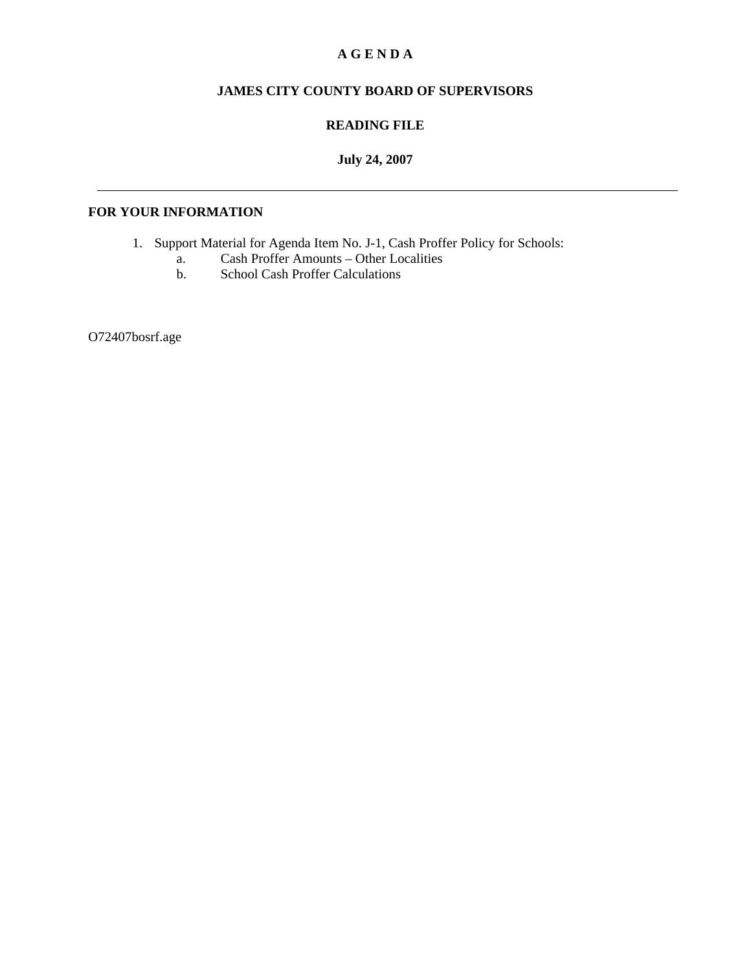# **A G E N D A**

# **JAMES CITY COUNTY BOARD OF SUPERVISORS**

### **READING FILE**

# **July 24, 2007**

## **FOR YOUR INFORMATION**

- 1. Support Material for Agenda Item No. J-1, Cash Proffer Policy for Schools:
	- a. Cash Proffer Amounts Other Localities<br>b. School Cash Proffer Calculations
		- School Cash Proffer Calculations

O72407bosrf.age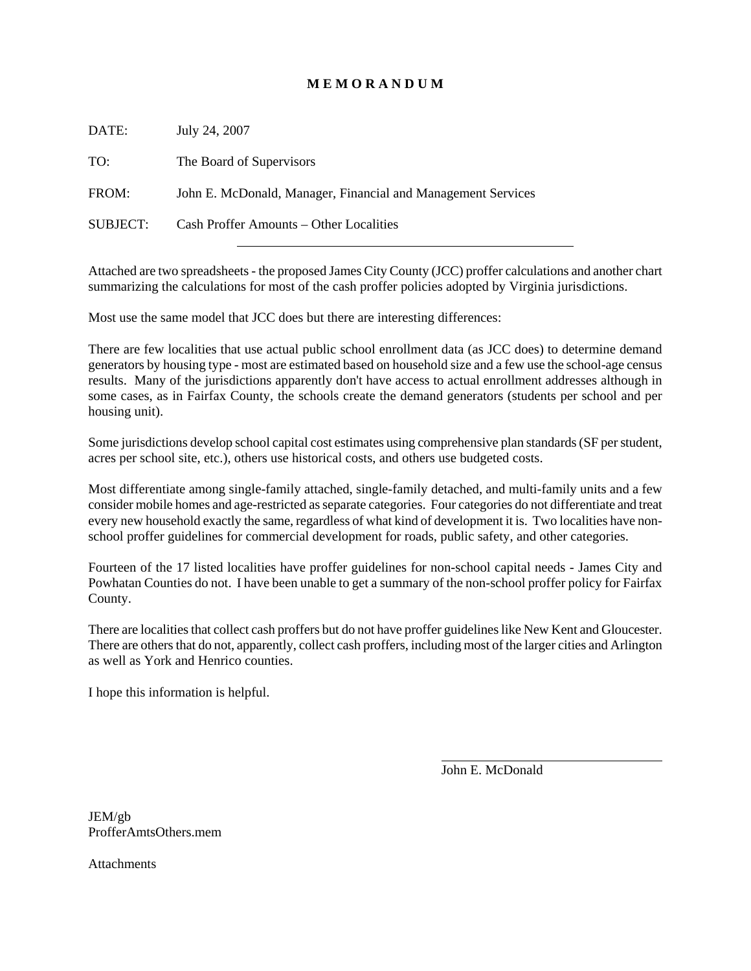### **M E M O R A N D U M**

DATE: July 24, 2007 TO: The Board of Supervisors FROM: John E. McDonald, Manager, Financial and Management Services SUBJECT: Cash Proffer Amounts – Other Localities

Attached are two spreadsheets - the proposed James City County (JCC) proffer calculations and another chart summarizing the calculations for most of the cash proffer policies adopted by Virginia jurisdictions.

Most use the same model that JCC does but there are interesting differences:

There are few localities that use actual public school enrollment data (as JCC does) to determine demand generators by housing type - most are estimated based on household size and a few use the school-age census results. Many of the jurisdictions apparently don't have access to actual enrollment addresses although in some cases, as in Fairfax County, the schools create the demand generators (students per school and per housing unit).

Some jurisdictions develop school capital cost estimates using comprehensive plan standards (SF per student, acres per school site, etc.), others use historical costs, and others use budgeted costs.

Most differentiate among single-family attached, single-family detached, and multi-family units and a few consider mobile homes and age-restricted as separate categories. Four categories do not differentiate and treat every new household exactly the same, regardless of what kind of development it is. Two localities have nonschool proffer guidelines for commercial development for roads, public safety, and other categories.

Fourteen of the 17 listed localities have proffer guidelines for non-school capital needs - James City and Powhatan Counties do not. I have been unable to get a summary of the non-school proffer policy for Fairfax County.

There are localities that collect cash proffers but do not have proffer guidelines like New Kent and Gloucester. There are others that do not, apparently, collect cash proffers, including most of the larger cities and Arlington as well as York and Henrico counties.

I hope this information is helpful.

John E. McDonald

l

JEM/gb ProfferAmtsOthers.mem

**Attachments**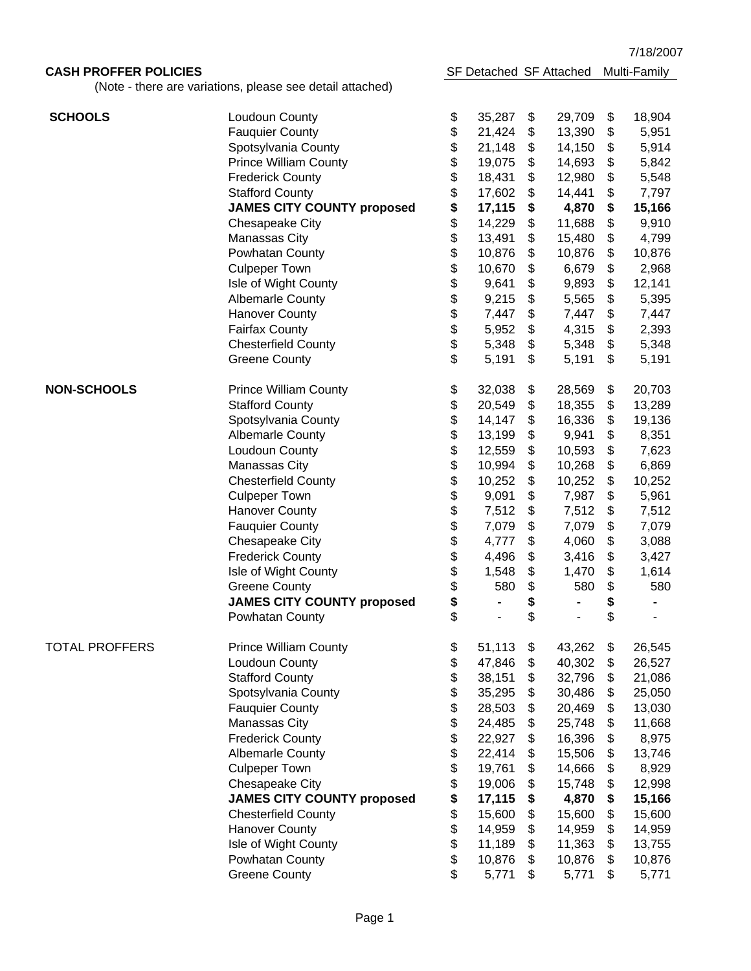7/18/2007

# **CASH PROFFER POLICIES SF Detached SF Attached Multi-Family**

(Note - there are variations, please see detail attached)

| <b>SCHOOLS</b>        | Loudoun County                    | \$                   | 35,287 | \$         | 29,709 | \$<br>18,904 |
|-----------------------|-----------------------------------|----------------------|--------|------------|--------|--------------|
|                       | <b>Fauquier County</b>            | \$                   | 21,424 | \$         | 13,390 | \$<br>5,951  |
|                       | Spotsylvania County               | $\, \, \$$           | 21,148 | \$         | 14,150 | \$<br>5,914  |
|                       | <b>Prince William County</b>      | \$                   | 19,075 | \$         | 14,693 | \$<br>5,842  |
|                       | <b>Frederick County</b>           |                      | 18,431 | \$         | 12,980 | \$<br>5,548  |
|                       | <b>Stafford County</b>            | $\frac{3}{3}$        | 17,602 | \$         | 14,441 | \$<br>7,797  |
|                       | <b>JAMES CITY COUNTY proposed</b> | \$                   | 17,115 | \$         | 4,870  | \$<br>15,166 |
|                       | Chesapeake City                   |                      | 14,229 | \$         | 11,688 | \$<br>9,910  |
|                       | <b>Manassas City</b>              | <b>888888888</b>     | 13,491 | \$         | 15,480 | \$<br>4,799  |
|                       | Powhatan County                   |                      | 10,876 | \$         | 10,876 | \$<br>10,876 |
|                       | <b>Culpeper Town</b>              |                      | 10,670 | \$         | 6,679  | \$<br>2,968  |
|                       | Isle of Wight County              |                      | 9,641  | \$         | 9,893  | \$<br>12,141 |
|                       | <b>Albemarle County</b>           |                      | 9,215  | \$         | 5,565  | \$<br>5,395  |
|                       | <b>Hanover County</b>             |                      | 7,447  | \$         | 7,447  | \$<br>7,447  |
|                       | <b>Fairfax County</b>             |                      | 5,952  | \$         | 4,315  | \$<br>2,393  |
|                       | <b>Chesterfield County</b>        |                      | 5,348  |            |        | \$<br>5,348  |
|                       |                                   | \$                   |        | \$         | 5,348  |              |
|                       | <b>Greene County</b>              |                      | 5,191  | \$         | 5,191  | \$<br>5,191  |
| <b>NON-SCHOOLS</b>    | <b>Prince William County</b>      | \$                   | 32,038 | \$         | 28,569 | \$<br>20,703 |
|                       | <b>Stafford County</b>            | \$                   | 20,549 | \$         | 18,355 | \$<br>13,289 |
|                       | Spotsylvania County               | \$                   | 14,147 | \$         | 16,336 | \$<br>19,136 |
|                       | <b>Albemarle County</b>           |                      | 13,199 | \$         | 9,941  | \$<br>8,351  |
|                       | Loudoun County                    | \$<br>\$             | 12,559 | \$         | 10,593 | \$<br>7,623  |
|                       | Manassas City                     |                      | 10,994 | \$         | 10,268 | \$<br>6,869  |
|                       | <b>Chesterfield County</b>        |                      | 10,252 | \$         | 10,252 | \$<br>10,252 |
|                       | <b>Culpeper Town</b>              | \$\$\$\$\$\$\$\$\$\$ | 9,091  | \$         | 7,987  | \$<br>5,961  |
|                       | <b>Hanover County</b>             |                      | 7,512  | \$         | 7,512  | \$<br>7,512  |
|                       | <b>Fauquier County</b>            |                      | 7,079  | \$         | 7,079  | \$<br>7,079  |
|                       | Chesapeake City                   |                      | 4,777  | \$         | 4,060  | \$<br>3,088  |
|                       | <b>Frederick County</b>           |                      | 4,496  | \$         |        | \$           |
|                       |                                   |                      |        | $\, \, \$$ | 3,416  | 3,427        |
|                       | Isle of Wight County              |                      | 1,548  |            | 1,470  | \$<br>1,614  |
|                       | <b>Greene County</b>              |                      | 580    | $\, \, \$$ | 580    | \$<br>580    |
|                       | <b>JAMES CITY COUNTY proposed</b> | \$                   |        | \$         |        | \$           |
|                       | Powhatan County                   | \$                   |        | \$         |        | \$           |
| <b>TOTAL PROFFERS</b> | <b>Prince William County</b>      | \$                   | 51,113 | \$         | 43,262 | \$<br>26,545 |
|                       | Loudoun County                    | \$                   | 47,846 | \$         | 40,302 | \$<br>26,527 |
|                       | <b>Stafford County</b>            | \$                   | 38,151 | \$         | 32,796 | \$<br>21,086 |
|                       | Spotsylvania County               | \$                   | 35,295 | \$         | 30,486 | \$<br>25,050 |
|                       | <b>Fauquier County</b>            | \$                   | 28,503 | \$         | 20,469 | \$<br>13,030 |
|                       | Manassas City                     | \$                   | 24,485 | \$         | 25,748 | \$<br>11,668 |
|                       | <b>Frederick County</b>           | \$                   | 22,927 | \$         | 16,396 | \$<br>8,975  |
|                       | <b>Albemarle County</b>           | \$                   | 22,414 | \$         | 15,506 | \$<br>13,746 |
|                       | <b>Culpeper Town</b>              | \$                   | 19,761 | \$         | 14,666 | \$<br>8,929  |
|                       |                                   |                      |        |            |        |              |
|                       | Chesapeake City                   | \$                   | 19,006 | \$         | 15,748 | \$<br>12,998 |
|                       | <b>JAMES CITY COUNTY proposed</b> | \$                   | 17,115 | \$         | 4,870  | \$<br>15,166 |
|                       | <b>Chesterfield County</b>        | \$                   | 15,600 | \$         | 15,600 | \$<br>15,600 |
|                       | <b>Hanover County</b>             | \$                   | 14,959 | \$         | 14,959 | \$<br>14,959 |
|                       | Isle of Wight County              | \$                   | 11,189 | \$         | 11,363 | \$<br>13,755 |
|                       | Powhatan County                   | \$                   | 10,876 | \$         | 10,876 | \$<br>10,876 |
|                       | <b>Greene County</b>              | \$                   | 5,771  | \$         | 5,771  | \$<br>5,771  |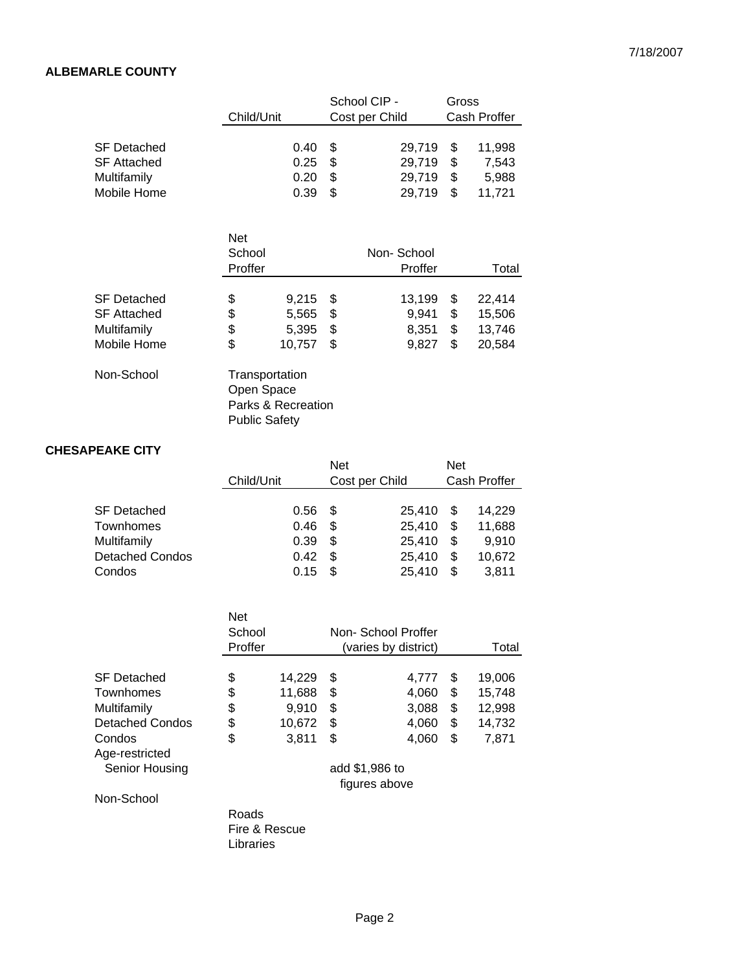# **ALBEMARLE COUNTY**

|                                                                        |                                                      |                                   | School CIP -         |                                      | Gross                |                                      |  |
|------------------------------------------------------------------------|------------------------------------------------------|-----------------------------------|----------------------|--------------------------------------|----------------------|--------------------------------------|--|
|                                                                        | Child/Unit                                           |                                   | Cost per Child       |                                      |                      | Cash Proffer                         |  |
| <b>SF Detached</b><br>SF Attached<br><b>Multifamily</b><br>Mobile Home |                                                      | 0.40<br>0.25<br>0.20<br>0.39      | \$<br>\$<br>\$<br>\$ | 29,719<br>29,719<br>29,719<br>29,719 | \$<br>\$<br>\$<br>\$ | 11,998<br>7,543<br>5,988<br>11,721   |  |
|                                                                        | <b>Net</b><br>School<br>Proffer                      |                                   |                      | Non-School<br>Proffer                |                      | Total                                |  |
| <b>SF Detached</b><br>SF Attached<br>Multifamily<br>Mobile Home        | \$<br>\$<br>\$<br>\$                                 | 9,215<br>5,565<br>5,395<br>10,757 | \$<br>\$<br>\$<br>\$ | 13,199<br>9,941<br>8,351<br>9,827    | \$<br>\$<br>\$<br>\$ | 22,414<br>15,506<br>13,746<br>20,584 |  |
| Non-School                                                             | Transportation<br>Open Space<br><b>Public Safety</b> | Parks & Recreation                |                      |                                      |                      |                                      |  |

#### **CHESAPEAKE CITY**

|                        | Child/Unit |      | Net<br>Cost per Child |        | <b>Net</b> | Cash Proffer |
|------------------------|------------|------|-----------------------|--------|------------|--------------|
| <b>SF Detached</b>     |            | 0.56 | \$.                   | 25.410 | \$         | 14,229       |
| Townhomes              |            | 0.46 | S                     | 25,410 | \$         | 11,688       |
| Multifamily            |            | 0.39 | S                     | 25,410 | \$         | 9,910        |
| <b>Detached Condos</b> |            | 0.42 | S                     | 25,410 | \$         | 10,672       |
| Condos                 |            | 0.15 | S                     | 25,410 | \$.        | 3,811        |

|                        | Net           |        |    |                      |              |
|------------------------|---------------|--------|----|----------------------|--------------|
|                        | School        |        |    | Non-School Proffer   |              |
|                        | Proffer       |        |    | (varies by district) | Total        |
|                        |               |        |    |                      |              |
| <b>SF Detached</b>     | \$            | 14,229 | \$ | 4,777                | \$<br>19,006 |
| Townhomes              | \$            | 11,688 | \$ | 4.060                | \$<br>15,748 |
| Multifamily            | \$            | 9.910  | \$ | 3,088                | \$<br>12,998 |
| <b>Detached Condos</b> | \$            | 10,672 | S  | 4.060                | \$<br>14,732 |
| Condos                 | \$            | 3,811  | \$ | 4,060                | \$<br>7,871  |
| Age-restricted         |               |        |    |                      |              |
| Senior Housing         |               |        |    | add \$1,986 to       |              |
|                        |               |        |    | figures above        |              |
| Non-School             |               |        |    |                      |              |
|                        | Roads         |        |    |                      |              |
|                        | Fire & Rescue |        |    |                      |              |
|                        | Libraries     |        |    |                      |              |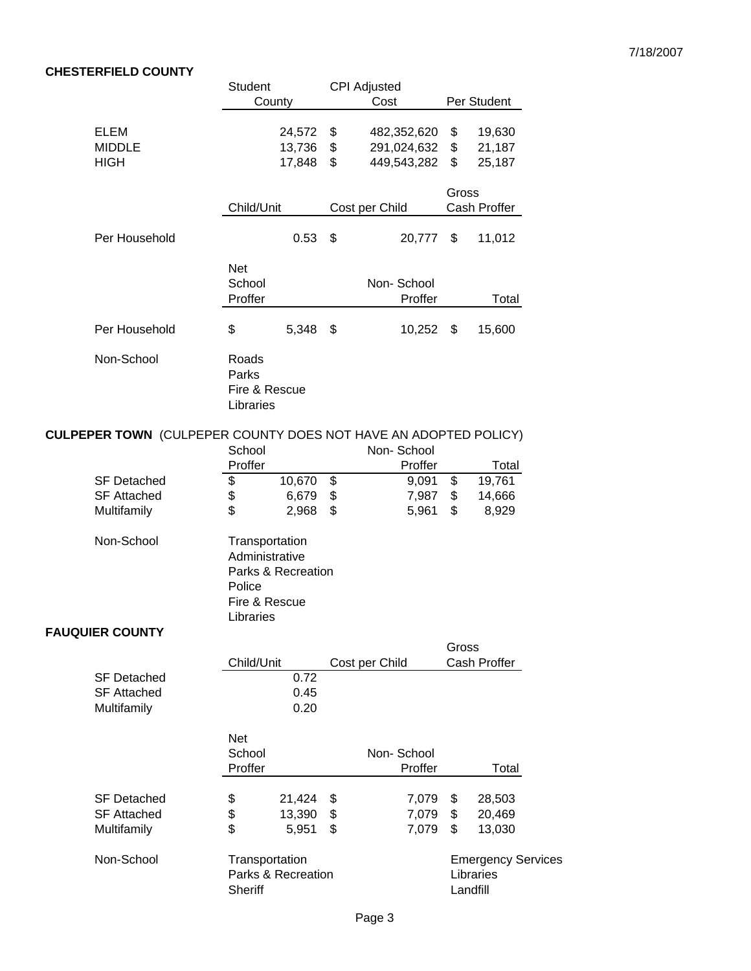# **CHESTERFIELD COUNTY**

|                                                                        | <b>Student</b>                                                           |                            |                | CPI Adjusted                              |                |                                        |
|------------------------------------------------------------------------|--------------------------------------------------------------------------|----------------------------|----------------|-------------------------------------------|----------------|----------------------------------------|
|                                                                        | County                                                                   |                            |                | Cost                                      |                | Per Student                            |
| <b>ELEM</b><br><b>MIDDLE</b><br><b>HIGH</b>                            |                                                                          | 24,572<br>13,736<br>17,848 | \$<br>\$<br>\$ | 482,352,620<br>291,024,632<br>449,543,282 | \$<br>\$<br>\$ | 19,630<br>21,187<br>25,187             |
|                                                                        | Child/Unit                                                               |                            |                | Cost per Child                            | Gross          | Cash Proffer                           |
| Per Household                                                          |                                                                          | 0.53                       | \$             | 20,777                                    | \$             | 11,012                                 |
|                                                                        | Net<br>School<br>Proffer                                                 |                            |                | Non-School<br>Proffer                     |                | Total                                  |
| Per Household                                                          | \$                                                                       | 5,348                      | \$             | 10,252                                    | \$             | 15,600                                 |
| Non-School                                                             | Roads<br>Parks<br>Fire & Rescue<br>Libraries                             |                            |                |                                           |                |                                        |
| <b>CULPEPER TOWN</b> (CULPEPER COUNTY DOES NOT HAVE AN ADOPTED POLICY) | School                                                                   |                            |                | Non-School                                |                |                                        |
|                                                                        | Proffer                                                                  |                            |                | Proffer                                   |                | Total                                  |
| <b>SF Detached</b><br><b>SF Attached</b>                               | \$                                                                       | 10,670                     | \$             | 9,091                                     | \$             | 19,761                                 |
| Multifamily                                                            | \$<br>\$                                                                 | 6,679<br>2,968             | \$<br>\$       | 7,987<br>5,961                            | \$<br>\$       | 14,666<br>8,929                        |
| Non-School                                                             | Transportation<br>Administrative<br>Police<br>Fire & Rescue<br>Libraries | Parks & Recreation         |                |                                           |                |                                        |
| <b>FAUQUIER COUNTY</b>                                                 |                                                                          |                            |                |                                           |                |                                        |
|                                                                        | Child/Unit                                                               |                            |                | Cost per Child                            | Gross          | Cash Proffer                           |
| <b>SF Detached</b><br><b>SF Attached</b><br>Multifamily                |                                                                          | 0.72<br>0.45<br>0.20       |                |                                           |                |                                        |
|                                                                        | <b>Net</b><br>School<br>Proffer                                          |                            |                | Non-School<br>Proffer                     |                | Total                                  |
| <b>SF Detached</b><br><b>SF Attached</b><br>Multifamily                | \$<br>\$<br>\$                                                           | 21,424<br>13,390<br>5,951  | \$<br>\$<br>\$ | 7,079<br>7,079<br>7,079                   | \$<br>\$<br>\$ | 28,503<br>20,469<br>13,030             |
| Non-School                                                             | Transportation<br>Sheriff                                                | Parks & Recreation         |                |                                           | Landfill       | <b>Emergency Services</b><br>Libraries |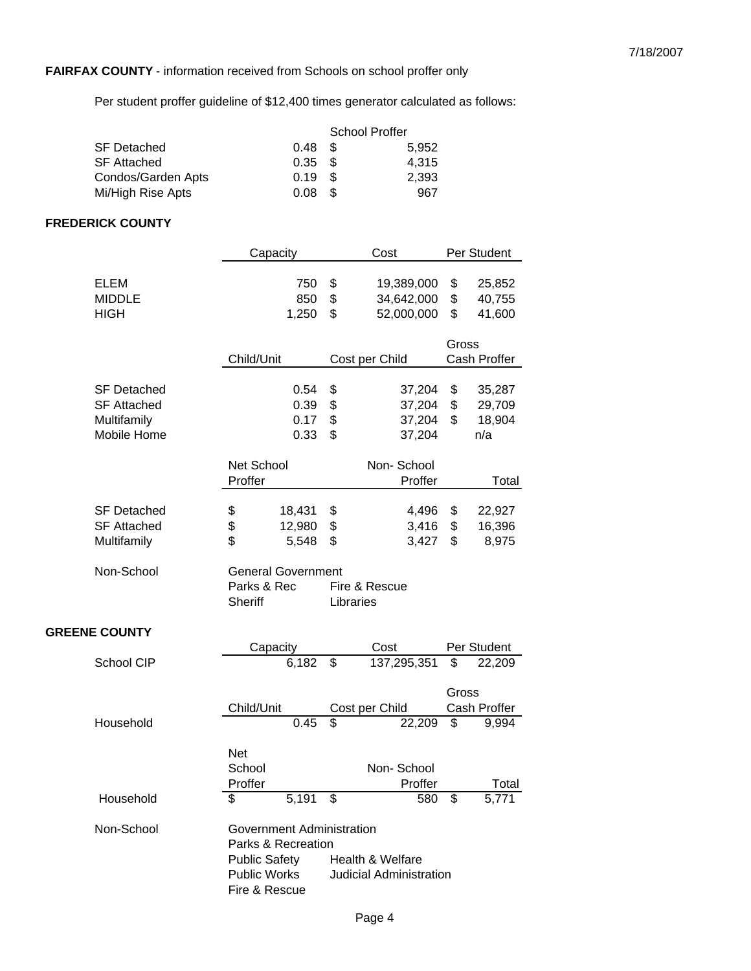# **FAIRFAX COUNTY** - information received from Schools on school proffer only

Per student proffer guideline of \$12,400 times generator calculated as follows:

|                    |                   | <b>School Proffer</b> |       |  |
|--------------------|-------------------|-----------------------|-------|--|
| <b>SF Detached</b> | 0.48 <sup>5</sup> |                       | 5,952 |  |
| <b>SF Attached</b> | 0.35 <sup>5</sup> |                       | 4.315 |  |
| Condos/Garden Apts | 0.19              | - \$                  | 2,393 |  |
| Mi/High Rise Apts  | 0.08              | - \$                  | 967   |  |

#### **FREDERICK COUNTY**

|                      | Capacity                  | Cost                           | Per Student  |  |
|----------------------|---------------------------|--------------------------------|--------------|--|
| <b>ELEM</b>          | 750                       | \$<br>19,389,000               | \$<br>25,852 |  |
| <b>MIDDLE</b>        | 850                       | \$<br>34,642,000               | \$<br>40,755 |  |
| <b>HIGH</b>          | 1,250                     | \$<br>52,000,000               | \$<br>41,600 |  |
|                      |                           |                                |              |  |
|                      |                           |                                | Gross        |  |
|                      | Child/Unit                | Cost per Child                 | Cash Proffer |  |
| <b>SF Detached</b>   | 0.54                      | \$<br>37,204                   | \$<br>35,287 |  |
| <b>SF Attached</b>   | 0.39                      | \$<br>37,204                   | \$<br>29,709 |  |
| Multifamily          | 0.17                      | \$<br>37,204                   | \$<br>18,904 |  |
| Mobile Home          | 0.33                      | \$<br>37,204                   | n/a          |  |
|                      |                           |                                |              |  |
|                      | Net School                | Non-School                     |              |  |
|                      | Proffer                   | Proffer                        | Total        |  |
| <b>SF Detached</b>   | \$<br>18,431              | 4,496<br>\$                    | \$<br>22,927 |  |
| <b>SF Attached</b>   | \$<br>12,980              | \$<br>3,416                    | \$<br>16,396 |  |
| Multifamily          | \$<br>5,548               | \$<br>3,427                    | \$<br>8,975  |  |
|                      |                           |                                |              |  |
| Non-School           | <b>General Government</b> |                                |              |  |
|                      | Parks & Rec               | Fire & Rescue                  |              |  |
|                      | Sheriff                   | Libraries                      |              |  |
| <b>GREENE COUNTY</b> |                           |                                |              |  |
|                      | Capacity                  | Cost                           | Per Student  |  |
| School CIP           | 6,182                     | \$<br>137,295,351              | \$<br>22,209 |  |
|                      |                           |                                |              |  |
|                      |                           |                                | Gross        |  |
|                      | Child/Unit                | Cost per Child                 | Cash Proffer |  |
| Household            | 0.45                      | \$<br>22,209                   | \$<br>9,994  |  |
|                      | <b>Net</b>                |                                |              |  |
|                      | School                    | Non-School                     |              |  |
|                      | Proffer                   | Proffer                        | Total        |  |
| Household            | $5,191$ \$<br>\$          | $580 \ \ \ \overline{\$}$      | 5,771        |  |
| Non-School           | Government Administration |                                |              |  |
|                      | Parks & Recreation        |                                |              |  |
|                      | <b>Public Safety</b>      | <b>Health &amp; Welfare</b>    |              |  |
|                      | <b>Public Works</b>       | <b>Judicial Administration</b> |              |  |
|                      | Fire & Rescue             |                                |              |  |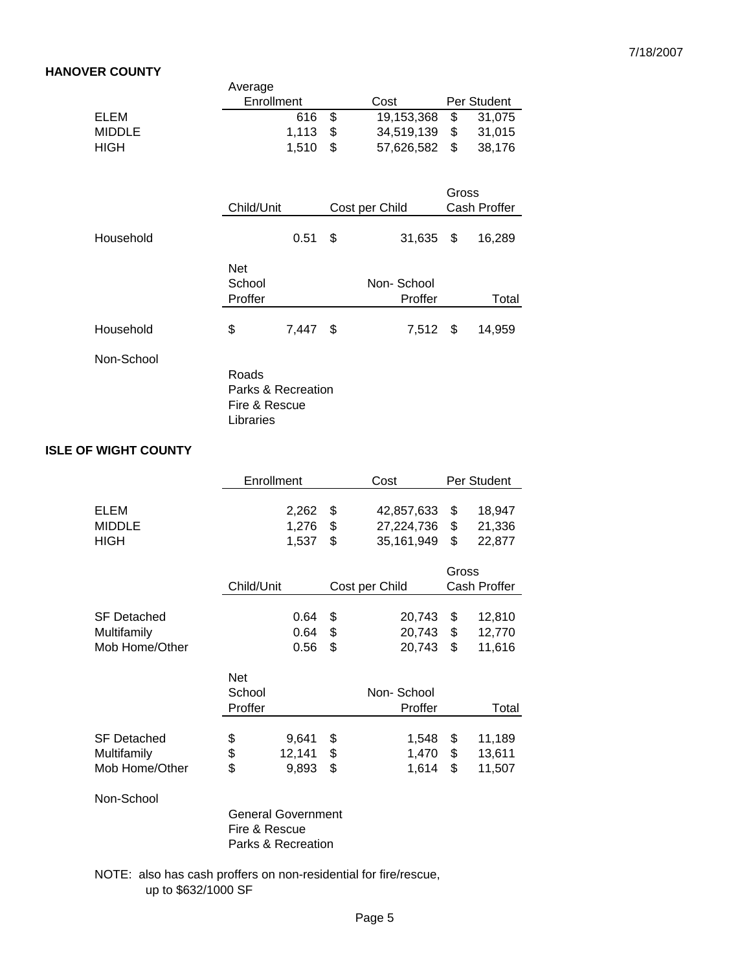#### **HANOVER COUNTY**

|                             |                    | Average            |                 |          |                |          |                  |
|-----------------------------|--------------------|--------------------|-----------------|----------|----------------|----------|------------------|
|                             |                    | Enrollment         |                 |          | Cost           |          | Per Student      |
| <b>ELEM</b>                 |                    |                    | 616             | \$       | 19,153,368     | \$       | 31,075           |
| <b>MIDDLE</b>               |                    |                    | 1,113           | \$       | 34,519,139     | \$       | 31,015           |
| <b>HIGH</b>                 |                    |                    | 1,510           | \$       | 57,626,582     | \$       | 38,176           |
|                             |                    |                    |                 |          |                |          |                  |
|                             |                    |                    |                 |          |                | Gross    |                  |
|                             |                    | Child/Unit         |                 |          | Cost per Child |          | Cash Proffer     |
| Household                   |                    |                    | 0.51            | \$       | 31,635         | \$       | 16,289           |
|                             |                    | <b>Net</b>         |                 |          |                |          |                  |
|                             |                    | School             |                 |          | Non-School     |          |                  |
|                             |                    | Proffer            |                 |          | Proffer        |          | Total            |
|                             |                    |                    |                 |          |                |          |                  |
| Household                   |                    | \$                 | 7,447           | \$       | 7,512          | \$       | 14,959           |
|                             | Non-School         |                    |                 |          |                |          |                  |
|                             |                    | Roads              |                 |          |                |          |                  |
|                             |                    | Parks & Recreation |                 |          |                |          |                  |
|                             |                    | Fire & Rescue      |                 |          |                |          |                  |
|                             |                    | Libraries          |                 |          |                |          |                  |
| <b>ISLE OF WIGHT COUNTY</b> |                    |                    |                 |          |                |          |                  |
|                             |                    |                    |                 |          |                |          |                  |
|                             |                    | Enrollment         |                 |          | Cost           |          | Per Student      |
| ELEM                        |                    |                    | 2,262           | \$       | 42,857,633     | \$       | 18,947           |
| <b>MIDDLE</b>               |                    |                    | 1,276           | \$       | 27,224,736     | \$       | 21,336           |
| <b>HIGH</b>                 |                    |                    | 1,537           | \$       | 35,161,949     | \$       | 22,877           |
|                             |                    |                    |                 |          |                | Gross    |                  |
|                             |                    | Child/Unit         |                 |          | Cost per Child |          | Cash Proffer     |
|                             |                    |                    |                 |          |                |          |                  |
|                             | <b>SF Detached</b> |                    | 0.64            | \$       | 20,743         | \$       | 12,810           |
| Multifamily                 |                    |                    | 0.64            | \$       | 20,743         | \$       | 12,770           |
|                             | Mob Home/Other     |                    | 0.56            | \$       | 20,743         | \$       | 11,616           |
|                             |                    | <b>Net</b>         |                 |          |                |          |                  |
|                             |                    | School             |                 |          | Non-School     |          |                  |
|                             |                    | Proffer            |                 |          | Proffer        |          | Total            |
|                             |                    |                    |                 |          |                |          |                  |
| Multifamily                 | <b>SF Detached</b> | \$<br>\$           | 9,641<br>12,141 | \$<br>\$ | 1,548<br>1,470 | \$<br>\$ | 11,189<br>13,611 |
|                             |                    |                    |                 |          |                |          |                  |

Non-School

General Government Fire & Rescue Parks & Recreation

Mob Home/Other \$9,893 \$1,614 \$11,507

NOTE: also has cash proffers on non-residential for fire/rescue, up to \$632/1000 SF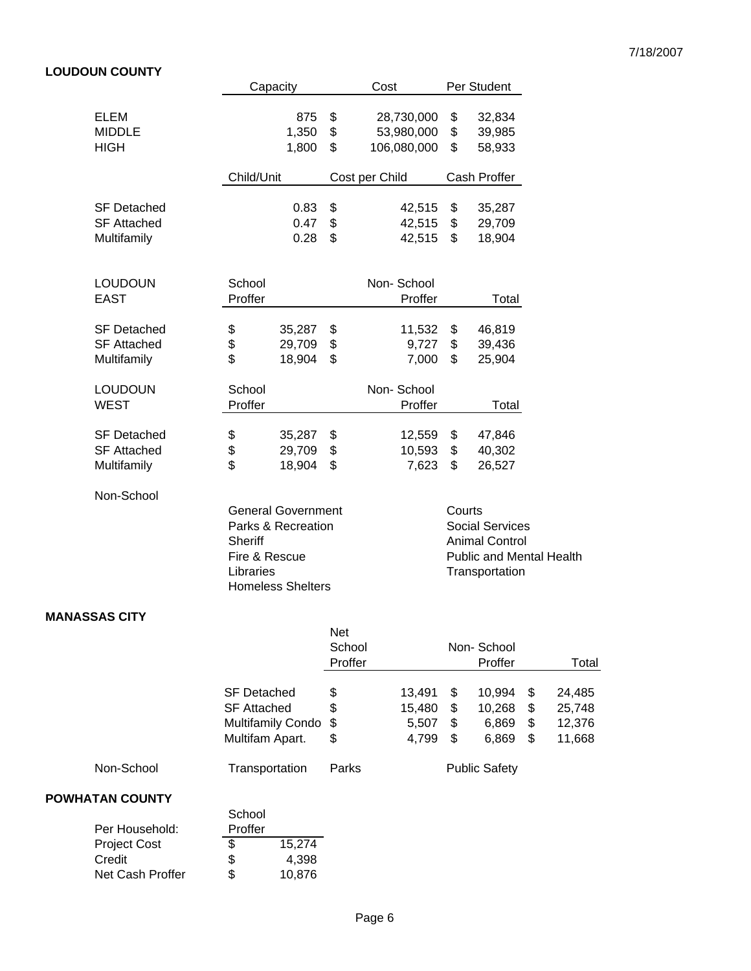#### 7/18/2007

# **LOUDOUN COUNTY**

|                                                         |                                       | Capacity                                                                    |                | Cost                                    |                | Per Student                                                                                          |
|---------------------------------------------------------|---------------------------------------|-----------------------------------------------------------------------------|----------------|-----------------------------------------|----------------|------------------------------------------------------------------------------------------------------|
| <b>ELEM</b><br><b>MIDDLE</b><br><b>HIGH</b>             |                                       | 875<br>1,350<br>1,800                                                       | \$<br>\$<br>\$ | 28,730,000<br>53,980,000<br>106,080,000 | \$<br>\$<br>\$ | 32,834<br>39,985<br>58,933                                                                           |
|                                                         | Child/Unit                            |                                                                             |                | Cost per Child                          |                | Cash Proffer                                                                                         |
| <b>SF Detached</b><br><b>SF Attached</b><br>Multifamily |                                       | 0.83<br>0.47<br>0.28                                                        | \$<br>\$<br>\$ | 42,515<br>42,515<br>42,515              | \$<br>\$<br>\$ | 35,287<br>29,709<br>18,904                                                                           |
| <b>LOUDOUN</b><br><b>EAST</b>                           | School<br>Proffer                     |                                                                             |                | Non-School<br>Proffer                   |                | Total                                                                                                |
| <b>SF Detached</b><br><b>SF Attached</b><br>Multifamily | \$<br>\$<br>\$                        | 35,287<br>29,709<br>18,904                                                  | \$<br>\$<br>\$ | 11,532<br>9,727<br>7,000                | \$<br>\$<br>\$ | 46,819<br>39,436<br>25,904                                                                           |
| <b>LOUDOUN</b><br><b>WEST</b>                           | School<br>Proffer                     |                                                                             |                | Non-School<br>Proffer                   |                | Total                                                                                                |
| <b>SF Detached</b><br><b>SF Attached</b><br>Multifamily | \$<br>\$<br>\$                        | 35,287<br>29,709<br>18,904                                                  | \$<br>\$<br>\$ | 12,559<br>10,593<br>7,623               | \$<br>\$<br>\$ | 47,846<br>40,302<br>26,527                                                                           |
| Non-School                                              | Sheriff<br>Fire & Rescue<br>Libraries | <b>General Government</b><br>Parks & Recreation<br><b>Homeless Shelters</b> |                |                                         | Courts         | <b>Social Services</b><br><b>Animal Control</b><br><b>Public and Mental Health</b><br>Transportation |

#### **MANASSAS CITY**

|            |                                                                  | <b>Net</b><br>School<br>Proffer |                           |              | Non-School<br>Proffer         |              | Total                      |
|------------|------------------------------------------------------------------|---------------------------------|---------------------------|--------------|-------------------------------|--------------|----------------------------|
|            | <b>SF Detached</b><br><b>SF Attached</b><br>Multifamily Condo \$ | \$<br>\$                        | 13.491<br>15,480<br>5,507 | S<br>S<br>\$ | 10.994<br>10,268<br>6,869     | S<br>S<br>\$ | 24.485<br>25,748<br>12,376 |
| Non-School | Multifam Apart.<br>Transportation                                | \$<br>Parks                     | 4,799                     | \$           | 6,869<br><b>Public Safety</b> | S            | 11,668                     |

#### **POWHATAN COUNTY**

|                  | School  |        |
|------------------|---------|--------|
| Per Household:   | Proffer |        |
| Project Cost     | \$      | 15.274 |
| Credit           | \$      | 4,398  |
| Net Cash Proffer | \$      | 10.876 |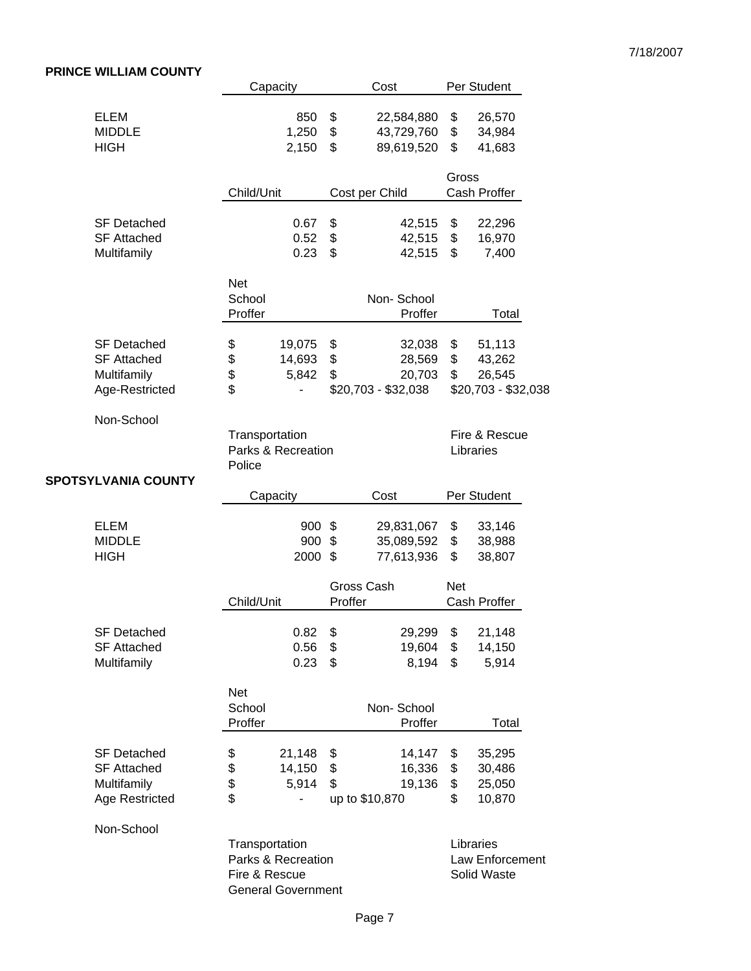# **PRINCE WILLIAM COUNTY**

|                                                                           |                                                | Capacity                                        |                  | Cost                                              |                      | Per Student                                       |  |
|---------------------------------------------------------------------------|------------------------------------------------|-------------------------------------------------|------------------|---------------------------------------------------|----------------------|---------------------------------------------------|--|
| <b>ELEM</b><br><b>MIDDLE</b><br><b>HIGH</b>                               |                                                | 850<br>1,250<br>2,150                           | \$<br>\$<br>\$   | 22,584,880<br>43,729,760<br>89,619,520            | \$<br>\$<br>\$       | 26,570<br>34,984<br>41,683                        |  |
|                                                                           | Child/Unit                                     |                                                 |                  | Cost per Child                                    | Gross                | Cash Proffer                                      |  |
| <b>SF Detached</b><br><b>SF Attached</b><br>Multifamily                   |                                                | 0.67<br>0.52<br>0.23                            | \$<br>\$<br>\$   | 42,515<br>42,515<br>42,515                        | \$<br>\$<br>\$       | 22,296<br>16,970<br>7,400                         |  |
|                                                                           | <b>Net</b><br>School<br>Proffer                |                                                 |                  | Non-School<br>Proffer                             |                      | Total                                             |  |
| <b>SF Detached</b><br><b>SF Attached</b><br>Multifamily<br>Age-Restricted | \$<br>\$<br>\$<br>\$                           | 19,075<br>14,693<br>5,842                       | \$<br>\$<br>\$   | 32,038<br>28,569<br>20,703<br>$$20,703 - $32,038$ | \$<br>\$<br>\$       | 51,113<br>43,262<br>26,545<br>\$20,703 - \$32,038 |  |
| Non-School                                                                | Transportation<br>Parks & Recreation<br>Police |                                                 |                  | Fire & Rescue<br>Libraries                        |                      |                                                   |  |
| <b>SPOTSYLVANIA COUNTY</b>                                                |                                                | Capacity                                        |                  | Cost                                              |                      | Per Student                                       |  |
| <b>ELEM</b><br><b>MIDDLE</b><br><b>HIGH</b>                               |                                                | 900 \$<br>900<br>2000                           | \$<br>\$         | 29,831,067<br>35,089,592<br>77,613,936            | \$<br>\$<br>\$       | 33,146<br>38,988<br>38,807                        |  |
|                                                                           | Child/Unit                                     |                                                 | Proffer          | Gross Cash                                        | <b>Net</b>           | Cash Proffer                                      |  |
| <b>SF Detached</b><br><b>SF Attached</b><br>Multifamily                   |                                                | 0.82<br>0.56<br>0.23                            | - \$<br>\$<br>\$ | 29,299 \$<br>19,604 \$<br>8,194                   | \$                   | 21,148<br>14,150<br>5,914                         |  |
|                                                                           | <b>Net</b><br>School<br>Proffer                |                                                 |                  | Non-School<br>Proffer                             |                      | Total                                             |  |
| <b>SF Detached</b><br><b>SF Attached</b><br>Multifamily<br>Age Restricted | \$<br>\$<br>\$<br>\$                           | 21,148<br>14,150<br>5,914                       | \$<br>\$<br>\$   | 14,147<br>16,336<br>19,136<br>up to \$10,870      | \$<br>\$<br>\$<br>\$ | 35,295<br>30,486<br>25,050<br>10,870              |  |
| Non-School                                                                | Transportation<br>Fire & Rescue                | Parks & Recreation<br><b>General Government</b> |                  |                                                   |                      | Libraries<br>Law Enforcement<br>Solid Waste       |  |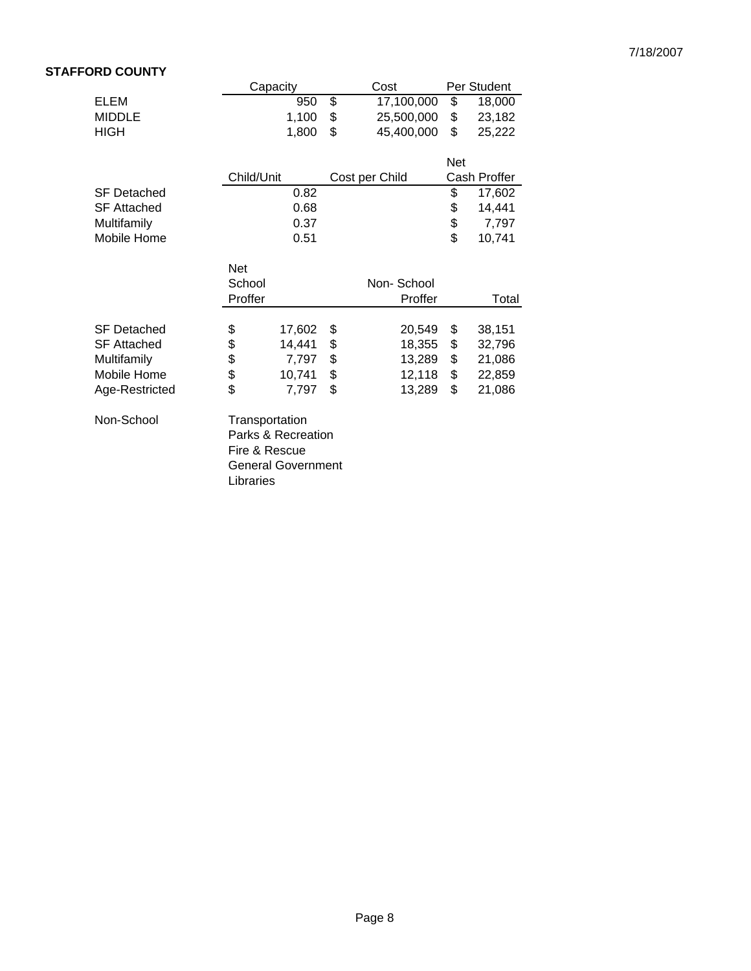# **STAFFORD COUNTY**

|        |                                                     |                                                                                                | Cost                                                                          |                                              | Per Student                                  |
|--------|-----------------------------------------------------|------------------------------------------------------------------------------------------------|-------------------------------------------------------------------------------|----------------------------------------------|----------------------------------------------|
|        | 950                                                 |                                                                                                | 17,100,000                                                                    | \$                                           | 18,000                                       |
|        | 1,100                                               | \$                                                                                             | 25,500,000                                                                    | \$                                           | 23,182                                       |
|        | 1,800                                               | \$                                                                                             | 45,400,000                                                                    | \$                                           | 25,222                                       |
|        |                                                     |                                                                                                |                                                                               |                                              |                                              |
|        |                                                     |                                                                                                |                                                                               | <b>Net</b>                                   |                                              |
|        |                                                     |                                                                                                |                                                                               |                                              | Cash Proffer                                 |
|        |                                                     |                                                                                                |                                                                               |                                              | 17,602                                       |
|        | 0.68                                                |                                                                                                |                                                                               |                                              | 14,441                                       |
|        | 0.37                                                |                                                                                                |                                                                               |                                              | 7,797                                        |
|        | 0.51                                                |                                                                                                |                                                                               |                                              | 10,741                                       |
|        |                                                     |                                                                                                |                                                                               |                                              |                                              |
|        |                                                     |                                                                                                |                                                                               |                                              |                                              |
| School |                                                     |                                                                                                | Non-School                                                                    |                                              |                                              |
|        |                                                     |                                                                                                | Proffer                                                                       |                                              | Total                                        |
|        |                                                     |                                                                                                |                                                                               |                                              |                                              |
|        |                                                     |                                                                                                |                                                                               |                                              | 38,151                                       |
|        |                                                     |                                                                                                |                                                                               |                                              | 32,796                                       |
|        |                                                     |                                                                                                |                                                                               |                                              | 21,086                                       |
|        | 10,741                                              |                                                                                                | 12,118                                                                        |                                              | 22,859                                       |
|        | 7,797                                               | \$                                                                                             | 13,289                                                                        | \$                                           | 21,086                                       |
|        |                                                     |                                                                                                |                                                                               |                                              |                                              |
|        |                                                     |                                                                                                |                                                                               |                                              |                                              |
|        |                                                     |                                                                                                |                                                                               |                                              |                                              |
|        |                                                     |                                                                                                |                                                                               |                                              |                                              |
|        |                                                     |                                                                                                |                                                                               |                                              |                                              |
|        | <b>Net</b><br>Proffer<br>\$<br>\$<br>\$<br>\$<br>\$ | Capacity<br>Child/Unit<br>0.82<br>17,602<br>14,441<br>7,797<br>Transportation<br>Fire & Rescue | \$<br>\$<br>\$<br>\$<br>\$<br>Parks & Recreation<br><b>General Government</b> | Cost per Child<br>20,549<br>18,355<br>13,289 | \$<br>\$<br>\$<br>\$<br>\$<br>\$<br>\$<br>\$ |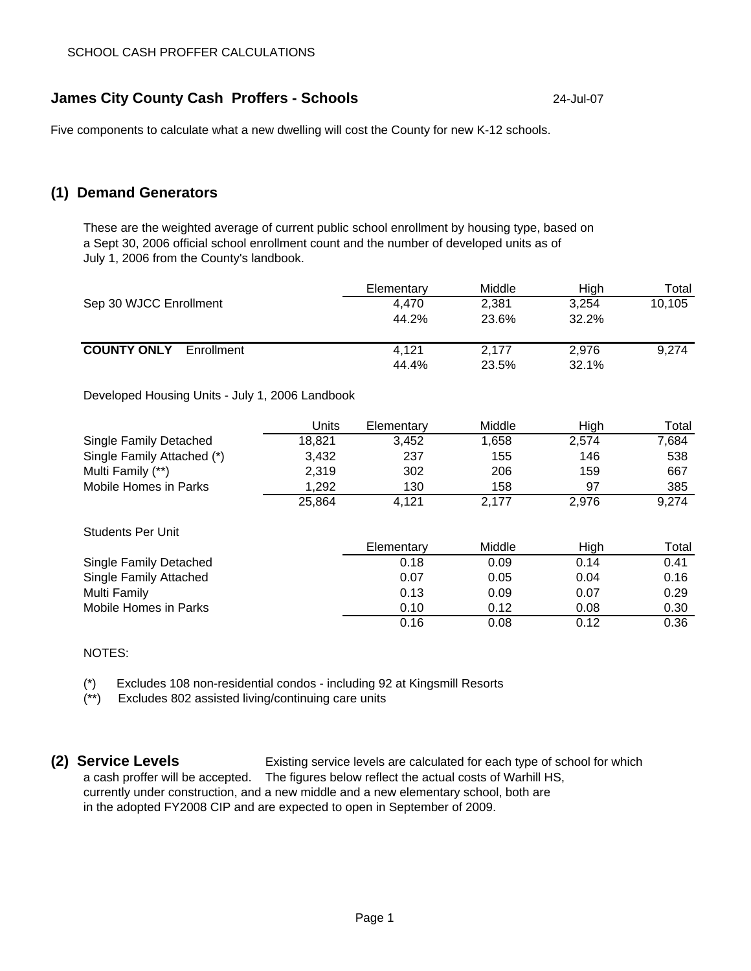# **James City County Cash Proffers - Schools** 24-Jul-07

Five components to calculate what a new dwelling will cost the County for new K-12 schools.

# **(1) Demand Generators**

These are the weighted average of current public school enrollment by housing type, based on a Sept 30, 2006 official school enrollment count and the number of developed units as of July 1, 2006 from the County's landbook.

|                                                 | Elementary | Middle | High  | Total  |
|-------------------------------------------------|------------|--------|-------|--------|
| Sep 30 WJCC Enrollment                          | 4.470      | 2.381  | 3.254 | 10,105 |
|                                                 | 44.2%      | 23.6%  | 32.2% |        |
| <b>COUNTY ONLY</b><br>Enrollment                | 4.121      | 2.177  | 2.976 | 9.274  |
|                                                 | 44.4%      | 23.5%  | 32.1% |        |
| Developed Housing Units - July 1, 2006 Landbook |            |        |       |        |

Developed Housing Units - July 1, 2006 Landbook

|                            | Units  | Elementary | Middle | High  | Total |
|----------------------------|--------|------------|--------|-------|-------|
| Single Family Detached     | 18,821 | 3,452      | 1,658  | 2,574 | 7,684 |
| Single Family Attached (*) | 3,432  | 237        | 155    | 146   | 538   |
| Multi Family (**)          | 2,319  | 302        | 206    | 159   | 667   |
| Mobile Homes in Parks      | 1,292  | 130        | 158    | 97    | 385   |
|                            | 25,864 | 4,121      | 2.177  | 2.976 | 9,274 |
| Students Per Unit          |        |            |        |       |       |
|                            |        | Elementary | Middle | High  | Total |
| Single Family Detached     |        | 0.18       | 0.09   | 0.14  | 0.41  |
| Single Family Attached     |        | 0.07       | 0.05   | 0.04  | 0.16  |
| Multi Family               |        | 0.13       | 0.09   | 0.07  | 0.29  |
| Mobile Homes in Parks      |        | 0.10       | 0.12   | 0.08  | 0.30  |

0.08 0.16 0.12 0.36

#### NOTES:

(\*) Excludes 108 non-residential condos - including 92 at Kingsmill Resorts

(\*\*) Excludes 802 assisted living/continuing care units

**(2) Service Levels** Existing service levels are calculated for each type of school for which a cash proffer will be accepted. The figures below reflect the actual costs of Warhill HS, currently under construction, and a new middle and a new elementary school, both are in the adopted FY2008 CIP and are expected to open in September of 2009.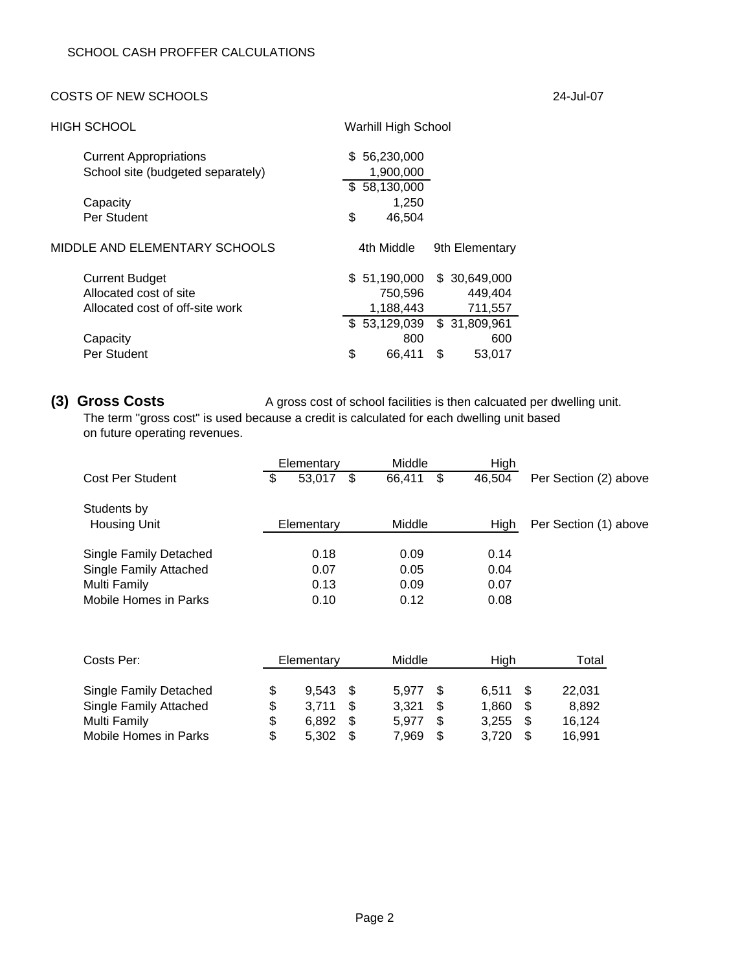#### COSTS OF NEW SCHOOLS 24-Jul-07

| HIGH SCHOOL                       | Warhill High School |                |
|-----------------------------------|---------------------|----------------|
| <b>Current Appropriations</b>     | \$56,230,000        |                |
| School site (budgeted separately) | 1,900,000           |                |
|                                   | \$58,130,000        |                |
| Capacity                          | 1,250               |                |
| Per Student                       | \$<br>46,504        |                |
| MIDDLE AND ELEMENTARY SCHOOLS     | 4th Middle          | 9th Elementary |
| <b>Current Budget</b>             | \$ 51,190,000       | \$ 30,649,000  |
| Allocated cost of site            | 750,596             | 449,404        |
| Allocated cost of off-site work   | 1,188,443           | 711,557        |
|                                   | \$53,129,039        | \$31,809,961   |
| Capacity                          | 800                 | 600            |
| Per Student                       | \$<br>66.411        | \$<br>53,017   |

**(3) Gross Costs** A gross cost of school facilities is then calcuated per dwelling unit. The term "gross cost" is used because a credit is calculated for each dwelling unit based on future operating revenues.

|                                    | Elementary         | Middle       | High   |                       |
|------------------------------------|--------------------|--------------|--------|-----------------------|
| Cost Per Student                   | \$<br>53,017<br>\$ | \$<br>66.411 | 46,504 | Per Section (2) above |
| Students by<br><b>Housing Unit</b> | Elementary         | Middle       | High   | Per Section (1) above |
|                                    |                    |              |        |                       |
| Single Family Detached             | 0.18               | 0.09         | 0.14   |                       |
| Single Family Attached             | 0.07               | 0.05         | 0.04   |                       |
| Multi Family                       | 0.13               | 0.09         | 0.07   |                       |
| Mobile Homes in Parks              | 0.10               | 0.12         | 0.08   |                       |

| Costs Per:                    | Elementary  | Middle |    | High  |      | Total  |
|-------------------------------|-------------|--------|----|-------|------|--------|
| <b>Single Family Detached</b> | $9.543$ \$  | 5.977  | -S | 6.511 | - \$ | 22,031 |
| <b>Single Family Attached</b> | 3.711       | 3.321  |    | 1.860 | -S   | 8.892  |
| Multi Family                  | 6.892       | 5.977  |    | 3.255 | -S   | 16,124 |
| Mobile Homes in Parks         | \$<br>5.302 | 7,969  |    | 3,720 | \$   | 16.991 |